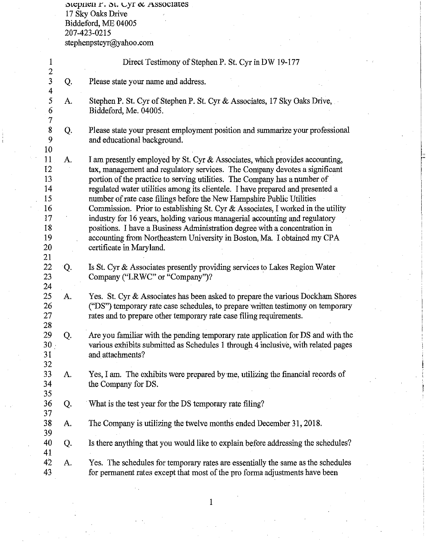$\mathop{\rm Spec}\nolimits$ ien r.  $\mathop{\rm St}\nolimits.$  Lyr  $\alpha$  . Associates 17 Sky Oaks Drive Biddeford, ME 04005 207-423-0215 stephenpstcyr@yahoo.com

| $\mathbf{1}$<br>$\overline{2}$                     |    | Direct Testimony of Stephen P. St. Cyr in DW 19-177                                                                                                                                                                                                                                                                                                                                               |
|----------------------------------------------------|----|---------------------------------------------------------------------------------------------------------------------------------------------------------------------------------------------------------------------------------------------------------------------------------------------------------------------------------------------------------------------------------------------------|
| $\overline{\mathbf{3}}$<br>$\overline{\mathbf{4}}$ | Q. | Please state your name and address.                                                                                                                                                                                                                                                                                                                                                               |
| 5<br>6<br>$\overline{\tau}$                        | А. | Stephen P. St. Cyr of Stephen P. St. Cyr & Associates, 17 Sky Oaks Drive,<br>Biddeford, Me. 04005.                                                                                                                                                                                                                                                                                                |
| 8<br>9                                             | Q. | Please state your present employment position and summarize your professional<br>and educational background.                                                                                                                                                                                                                                                                                      |
| 10<br>11<br>12<br>13<br>14<br>15                   | A. | I am presently employed by St. Cyr & Associates, which provides accounting,<br>tax, management and regulatory services. The Company devotes a significant<br>portion of the practice to serving utilities. The Company has a number of<br>regulated water utilities among its clientele. I have prepared and presented a<br>number of rate case filings before the New Hampshire Public Utilities |
| 16<br>17<br>18<br>19<br>20<br>21                   |    | Commission. Prior to establishing St. Cyr $\&$ Associates, I worked in the utility<br>industry for 16 years, holding various managerial accounting and regulatory<br>positions. I have a Business Administration degree with a concentration in<br>accounting from Northeastern University in Boston, Ma. I obtained my CPA<br>certificate in Maryland.                                           |
| 22<br>23                                           | Q. | Is St. Cyr & Associates presently providing services to Lakes Region Water<br>Company ("LRWC" or "Company")?                                                                                                                                                                                                                                                                                      |
| 24<br>25<br>26<br>27<br>28                         | А. | Yes. St. Cyr & Associates has been asked to prepare the various Dockham Shores<br>("DS") temporary rate case schedules, to prepare written testimony on temporary<br>rates and to prepare other temporary rate case filing requirements.                                                                                                                                                          |
| 29<br>$30 -$<br>31<br>32                           | Q. | Are you familiar with the pending temporary rate application for DS and with the<br>various exhibits submitted as Schedules 1 through 4 inclusive, with related pages<br>and attachments?                                                                                                                                                                                                         |
| 33<br>34<br>35                                     | A. | Yes, I am. The exhibits were prepared by me, utilizing the financial records of<br>the Company for DS.                                                                                                                                                                                                                                                                                            |
| 36<br>37                                           | Q. | What is the test year for the DS temporary rate filing?                                                                                                                                                                                                                                                                                                                                           |
| 38<br>39                                           | A. | The Company is utilizing the twelve months ended December 31, 2018.                                                                                                                                                                                                                                                                                                                               |
| 40<br>41                                           | Q. | Is there anything that you would like to explain before addressing the schedules?                                                                                                                                                                                                                                                                                                                 |
| 42<br>43                                           | A. | Yes. The schedules for temporary rates are essentially the same as the schedules<br>for permanent rates except that most of the pro forma adjustments have been                                                                                                                                                                                                                                   |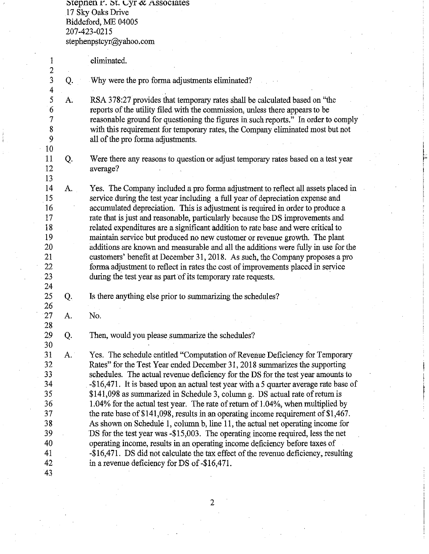$1$ repnen  $r$ .  $N$ . Cyr  $\alpha$  Associates 17 Sky Oaks Drive Biddeford, ME 04005 207-423-0215 stephenpstcyr@yahoo.com

1  $\frac{2}{3}$ Q.  $\frac{4}{5}$ 5 A. 6 7 8 9 10 11 Q. 12 13 14 A. 15 16 17 18 19 20 21 22 23 24 25 Q. 26 27 A. 28 29 Q. 30 31 A. 32 33 34 35 36 37 38 39 40 41 42 43 eliminated. Why were the pro forma adjustments eliminated? RSA 378:27 provides that temporary rates shall be calculated based on "the reports of the utility filed with the commission, unless there appears to be reasonable ground for questioning the figures in such reports." In order to comply with this requirement for temporary rates, the Company eliminated most but not all of the pro forma adjustments. Were there any reasons to question or adjust temporary rates based on a test year average? Yes. The Company included a pro forma adjustment to reflect all assets placed in service during the test year including a full year of depreciation expense and accumulated depreciation. This is adjustment is required in order to produce a rate that is just and reasonable, particularly because the DS improvements and related expenditures are a significant addition to rate base and were critical to maintain service but produced no new customer or revenue growth. The plant additions are known and measurable and all the additions were fully in use for the customers' benefit at December 31, 2018. As such, the Company proposes a pro forma adjustment to reflect in rates the cost of improvements placed in service during the test year as part of its temporary rate requests. Is there anything else prior to summarizing the schedules? No. Then, would you please summarize the schedules? Yes. The schedule entitled "Computation of Revenue Deficiency for Temporary Rates" for the Test Year ended December 31, 2018 summarizes the supporting schedules. The actual revenue deficiency for the DS for the test year amounts to -\$16,471. It is based upon an actual test year with a S quarter average rate base of \$141,098 as summarized in Schedule 3, column g. DS actual rate of return is 1.04% for the actual test year. The rate of return of 1.04%, when multiplied by the rate base of \$141,098, results in an operating income requirement of \$1,467. As shown on Schedule 1, column b, line 11, the actual net operating income for DS for the test year was -\$15,003. The operating income required, less the net operating income, results in an operating income deficiency before taxes of -\$16,471. DS did not calculate the tax effect of the revenue deficiency, resulting in a revenue deficiency for DS of -\$16,471.

i

 $\mathbb{I}^+$ I

I I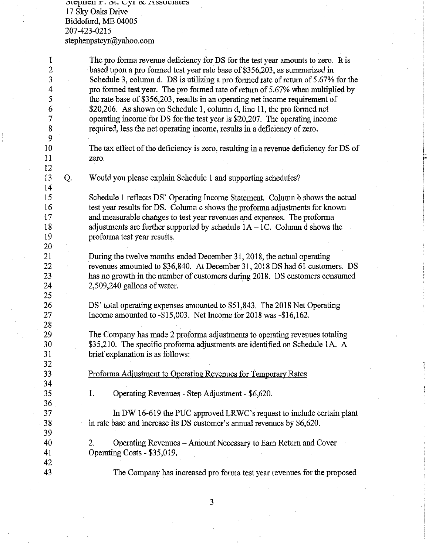$\mathop{\rm St}\nolimits$ etien: r.  $\mathop{\rm St}\nolimits$ . Cyr $\alpha$  . Associates 17 Sky Oaks Drive Biddeford, ME 04005 207-423-02I5 stephenpstcyr@yahoo.com

I 2 3 4 5 6 7 8 9 IO 11  $\frac{12}{13}$ The pro forma revenue deficiency for DS for the test year amounts to zero. It is based upon a pro formed test year rate base of \$356,203, as summarized in Schedule 3, column d. DS is utilizing a pro formed rate ofretum of 5.67% for the pro formed test year. The pro formed rate of return of 5.67% when multiplied by the rate base of \$356,203, results in an operating net income requirement of \$20,206. As shown on Schedule 1, column d, line 11, the pro formed net operating income for DS for the test year is \$20,207. The operating income required, less the net operating income, results in a deficiency of zero. The tax effect of the deficiency is zero, resulting in a revenue deficiency for DS of zero. 13 Q. Would you please explain Schedule I and supporting schedules? I4 I5 I6 I7 I8 I9 20 2I 22 23 24 25 26 27 28 29 30 3I 32 33 34 35 36 37 38 39 40 4I 42 43 Schedule I reflects DS' Operating Income Statement. Column b shows the actual test year results for DS. Column c shows the proforma adjustments for known and measurable changes to test year revenues and expenses. The proforma adjustments are further supported by schedule  $1A - 1C$ . Column d shows the proforma test year results. During the twelve months ended December 31, 2018, the actual operating revenues amounted to \$36,840. At December 3 I, 20I8 DS had 6I customers. DS has no growth in the number of customers during 20I8. DS customers consumed 2,509,240 gallons of water. DS' total operating expenses amounted to \$5I,843. The 20I8 Net Operating Income amounted to -\$I5,003. Net Income for 20I8 was -\$I6,I62. The Company has made 2 proforma adjustments to operating revenues totaling \$35,2IO. The specific proforma adjustments are identified on Schedule IA. A brief explanation is as follows: Proforma Adjustment to Operating Revenues for Temporarv Rates 1. Operating Revenues - Step Adjustment - \$6,620. In DW I6-6I9 the PUC approved LRWC's request to include certain plant in rate base and increase its DS customer's annual revenues by \$6,620. 2. Operating Revenues - Amount Necessary to Earn Return and Cover Operating Costs - \$35,0I9: The Company has increased pro forma test year revenues for the proposed

f I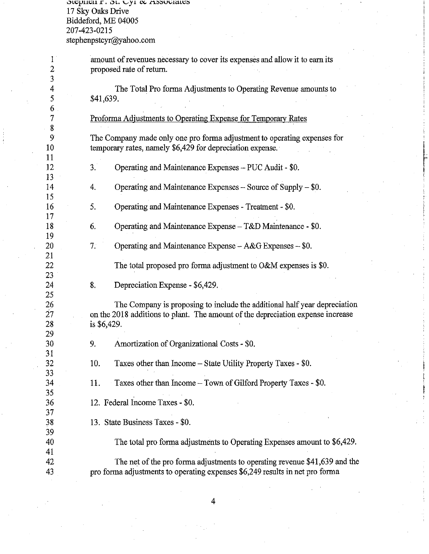**0l\;;pl11;;11 r. 0L. vy1** ~ **.t"l.;:5;".SV\..ila.LI;;;')**  17 Sky Oaks Drive Biddeford, ME 04005 207-423-0215 stephenpstcyr@yahoo.com

| $\mathbf{1}$<br>$\overline{2}$ | amount of revenues necessary to cover its expenses and allow it to earn its<br>proposed rate of return.                                                                     |
|--------------------------------|-----------------------------------------------------------------------------------------------------------------------------------------------------------------------------|
| 3                              |                                                                                                                                                                             |
| 4<br>5                         | The Total Pro forma Adjustments to Operating Revenue amounts to<br>\$41,639.                                                                                                |
| 6<br>7                         | Proforma Adjustments to Operating Expense for Temporary Rates                                                                                                               |
| 8<br>9<br>10 <sup>°</sup>      | The Company made only one pro forma adjustment to operating expenses for<br>temporary rates, namely \$6,429 for depreciation expense.                                       |
| 11<br>12<br>13                 | 3.<br>Operating and Maintenance Expenses - PUC Audit - \$0.                                                                                                                 |
| 14<br>15                       | Operating and Maintenance Expenses $-$ Source of Supply $-$ \$0.<br>4.                                                                                                      |
| 16<br>17                       | 5.<br>Operating and Maintenance Expenses - Treatment - \$0.                                                                                                                 |
| 18<br>19                       | Operating and Maintenance Expense - T&D Maintenance - \$0.<br>6.                                                                                                            |
| 20<br>21                       | 7.<br>Operating and Maintenance Expense - A&G Expenses - \$0.                                                                                                               |
| 22<br>23                       | The total proposed pro forma adjustment to O&M expenses is \$0.                                                                                                             |
| 24<br>25                       | 8.<br>Depreciation Expense - \$6,429.                                                                                                                                       |
| 26<br>27<br>28<br>29           | The Company is proposing to include the additional half year depreciation<br>on the 2018 additions to plant. The amount of the depreciation expense increase<br>is \$6,429. |
| 30<br>31                       | Amortization of Organizational Costs - \$0.<br>9.                                                                                                                           |
| 32<br>33                       | Taxes other than Income - State Utility Property Taxes - \$0.<br>10.                                                                                                        |
| 34<br>35                       | Taxes other than Income - Town of Gilford Property Taxes - \$0.<br>11.                                                                                                      |
| 36<br>37                       | 12. Federal Income Taxes - \$0.                                                                                                                                             |
| 38<br>39                       | 13. State Business Taxes - \$0.                                                                                                                                             |
| 40<br>41                       | The total pro forma adjustments to Operating Expenses amount to \$6,429.                                                                                                    |
| 42                             | The net of the pro forma adjustments to operating revenue \$41,639 and the                                                                                                  |
| 43                             | pro forma adjustments to operating expenses \$6,249 results in net pro forma                                                                                                |

I

f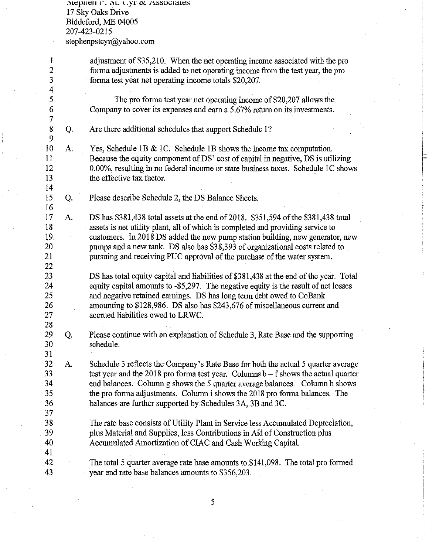$\mathfrak{soe}$ phen r.  $\mathfrak{soc}$ . Cyr  $\boldsymbol{\alpha}$  Associates 17 Sky Oaks Drive Biddeford, ME 04005 207-423-0215 stephenpstcyr@yahoo.com

| 1<br>$\frac{2}{3}$                                        |    | adjustment of \$35,210. When the net operating income associated with the pro<br>forma adjustments is added to net operating income from the test year, the pro<br>forma test year net operating income totals \$20,207.                                                                                                                                                                                            |
|-----------------------------------------------------------|----|---------------------------------------------------------------------------------------------------------------------------------------------------------------------------------------------------------------------------------------------------------------------------------------------------------------------------------------------------------------------------------------------------------------------|
| $\overline{4}$<br>5<br>$\boldsymbol{6}$<br>$\overline{7}$ |    | The pro forma test year net operating income of \$20,207 allows the<br>Company to cover its expenses and earn a 5.67% return on its investments.                                                                                                                                                                                                                                                                    |
| 8<br>9                                                    | Q. | Are there additional schedules that support Schedule 1?                                                                                                                                                                                                                                                                                                                                                             |
| 10<br>11<br>12<br>13<br>14                                | A. | Yes, Schedule 1B & 1C. Schedule 1B shows the income tax computation.<br>Because the equity component of DS' cost of capital in negative, DS is utilizing<br>0.00%, resulting in no federal income or state business taxes. Schedule 1C shows<br>the effective tax factor.                                                                                                                                           |
| 15<br>16                                                  | Q. | Please describe Schedule 2, the DS Balance Sheets.                                                                                                                                                                                                                                                                                                                                                                  |
| 17<br>18<br>19.<br>20<br>21<br>22                         | А. | DS has \$381,438 total assets at the end of 2018. \$351,594 of the \$381,438 total<br>assets is net utility plant, all of which is completed and providing service to<br>customers. In 2018 DS added the new pump station building, new generator, new<br>pumps and a new tank. DS also has \$38,393 of organizational costs related to<br>pursuing and receiving PUC approval of the purchase of the water system. |
| 23<br>24<br>25<br>26<br>27<br>28                          |    | DS has total equity capital and liabilities of \$381,438 at the end of the year. Total<br>equity capital amounts to -\$5,297. The negative equity is the result of net losses<br>and negative retained earnings. DS has long term debt owed to CoBank<br>amounting to \$128,986. DS also has \$243,676 of miscellaneous current and<br>accrued liabilities owed to LRWC.                                            |
| 29<br>30<br>31                                            | Q. | Please continue with an explanation of Schedule 3, Rate Base and the supporting<br>schedule.                                                                                                                                                                                                                                                                                                                        |
| 32<br>33<br>34<br>35<br>36<br>37                          | А. | Schedule 3 reflects the Company's Rate Base for both the actual 5 quarter average<br>test year and the 2018 pro forma test year. Columns $b - f$ shows the actual quarter<br>end balances. Column g shows the 5 quarter average balances. Column h shows<br>the pro forma adjustments. Column i shows the 2018 pro forma balances. The<br>balances are further supported by Schedules 3A, 3B and 3C.                |
| 38<br>39<br>40<br>41                                      |    | The rate base consists of Utility Plant in Service less Accumulated Depreciation,<br>plus Material and Supplies, less Contributions in Aid of Construction plus<br>Accumulated Amortization of CIAC and Cash Working Capital.                                                                                                                                                                                       |
| 42<br>43                                                  |    | The total 5 quarter average rate base amounts to \$141,098. The total pro formed<br>year end rate base balances amounts to \$356,203.                                                                                                                                                                                                                                                                               |

 $\mathbf{r}$ I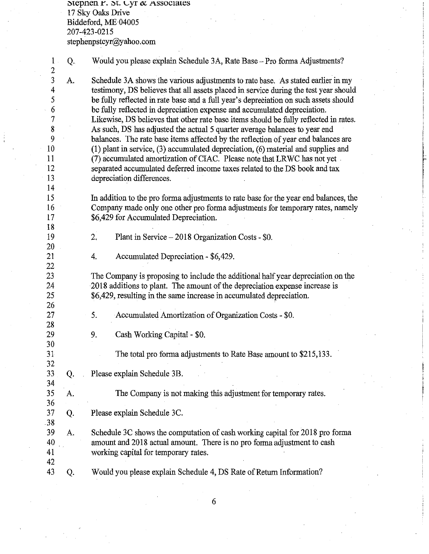$\sigma$ tepnen r.  $\sigma$ t. Lyr  $\alpha$  Associates 17 Sky Oaks Drive Biddeford, ME 04005 207-423-0215 stephenpstcyr@yahoo.com

1 Q. Would you please explain Schedule 3A, Rate Base-Proforma Adjustments?  $\frac{2}{3}$ 3 A. Schedule 3A shows the various adjustments to rate base. As stated earlier in my testimony, DS believes that all assets placed in service during the test vear should 4 testimony, DS believes that all assets placed in service during the test year should 5 be fully reflected in rate base and a full year's depreciation on such assets should<br>6 be fully reflected in depreciation expense and accumulated depreciation. 6 be fully reflected in depreciation expense and accumulated depreciation.<br>
The intervals of the culture of the fully reflected in the culture of the fully reflected in the culture of the fully reflected in the method. 7 Likewise, DS believes that other rate base items should be fully reflected in rates.<br>8 As such, DS has adjusted the actual 5 quarter average balances to year end 8 As such, DS has adjusted the actual 5 quarter average balances to year end<br>9 balances. The rate base items affected by the reflection of year end balance 9 balances. The rate base items affected by the reflection of year end balances are<br>10 (1) plant in service. (3) accumulated depreciation. (6) material and supplies and 10 (1) plant in service, (3) accumulated depreciation, (6) material and supplies and 11 (7) accumulated amortization of CIAC. Please note that LRWC has not vet (7) accumulated amortization of CIAC. Please note that LRWC has not yet 12 separated accumulated deferred income taxes related to the DS book and tax<br>13 depreciation differences. depreciation differences. 13<br>14 15 In addition to the pro forma adjustments to rate base for the year end balances, the 16 Company made only one other pro forma adjustments for temporary rates, namely 17 \$6,429 for Accumulated Depreciation. 18 19 2. Plant in Service-2018 Organization Costs - \$0. 20 21 4. Accumulated Depreciation - \$6,429. 22 23 The Company is proposing to include the additional half year depreciation on the 24 2018 additions to plant. The amount of the depreciation expense increase is 25 \$6,429, resulting in the same increase in accumulated depreciation. 26 27 5. Accumulated Amortization of Organization Costs - \$0. 28 29 9. Cash Working Capital - \$0. 30 31 The total proforma adjustments to Rate Base amount to \$215,133. 32 33 Q. Please explain Schedule 3B. 34 35 A. The Company is not making this adjustment for temporary rates. 36 37 Q. Please explain Schedule 3C. 38 39 A. Schedule 3C shows the computation of cash working capital for 2018 proforma 40 amount and 2018 actual amount. There is no pro forma adjustment to cash

r

43 Q. Would you please explain Schedule 4, DS Rate of Return Information?

41 working capital for temporary rates.

42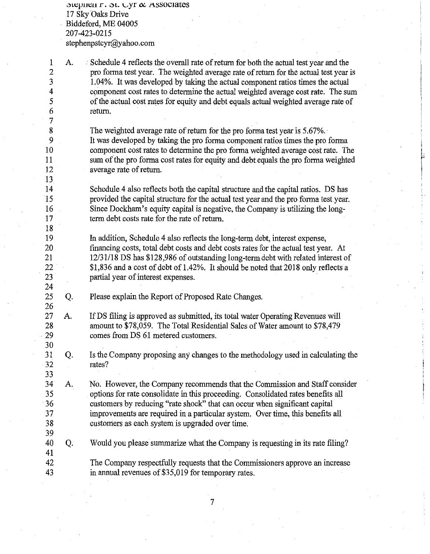$\text{sup.}: \text{S.} \cup \text{yr} \propto \text{Associates}$ 17 Sky Oaks Drive Biddeford, ME 04005 207-423-0215 stephenpstcyr@yahoo.com

1

26

30

33

39

41

2 A. . Schedule 4 reflects the overall rate of return for both the actual test year and the pro fomia test year. The weighted average rate of return for the actual test year is 1.04%. It was developed by taking the actual component ratios times the actual component cost rates to detennine the actual weighted average cost rate. The sum of the actual cost rates for equity and debt equals actual weighted average rate of return.

The weighted average rate of return for the pro fonna test year is 5.67%. It was developed by taking the pro fonna component ratios times the pro fonna component cost rates to determine the pro fonna weighted average cost rate. The sum of the pro forma cost rates for equity and debt equals the pro forma weighted average rate of return.

I

 $\mathbf{r}$ 

Schedule 4 also reflects both the capital structure and the capital ratios. DS has proviqed the capital structure for the actual test year and the pro fonna test year. Since Dockham's equity capital is negative, the Company is utilizing the longtenn debt costs rate for the rate of return.

In addition, Schedule 4 also reflects the long-tenn debt, interest expense, financing costs, total debt costs and debt costs rates for the actual test year. At 12/31/18 DS has \$128,986 of outstanding long-tenndebt with related interest of \$1,836 and a cost of debt of 1.42%. It should be noted that 2018 only reflects a partial year of interest expenses.

- 25 Q. Please explain the Report of Proposed Rate Changes.
- 27 28 29 A. If DS filing is approved as submitted, its total water Operating Revenues will amount to \$78,059. The Total Residential Sales of Water amount to \$78,479 comes from DS 61 metered customers.
- 31 32 Q. Is the Company proposing any changes to the methodology used in calculating the rates?
- 34 35 36 37 38 A. No. However, the Company recommends that the Commission and Staff consider options for rate consolidate in this proceeding. Consolidated rates benefits all customers by reducing "rate shock" that can occur when significant capital improvements are required in a particular system. Over time, this benefits all customers as each system is upgraded over time.
- 40 Q. Would you please summarize what the Company is requesting in its rate filing?
- 42 43 The Company respectfully requests that the Commissioners approve an increase in annual revenues of \$35,019 for temporary rates.